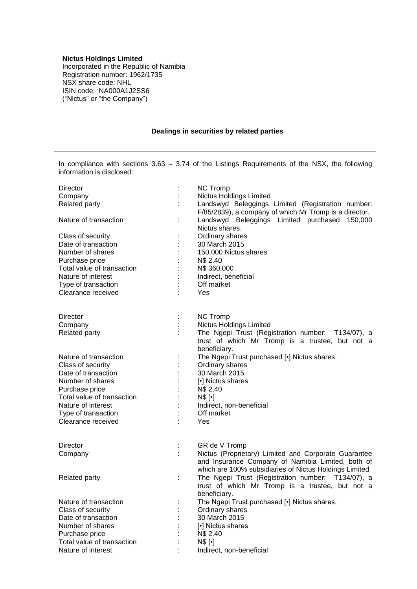## **Nictus Holdings Limited**

Incorporated in the Republic of Namibia Registration number: 1962/1735 NSX share code: NHL ISIN code: NA000A1J2SS6 ("Nictus" or "the Company")

## **Dealings in securities by related parties**

In compliance with sections 3.63 – 3.74 of the Listings Requirements of the NSX, the following information is disclosed:

| Nictus Holdings Limited<br>Company<br><b>Related party</b><br>Landswyd Beleggings Limited (Registration number:<br>F/85/2839), a company of which Mr Tromp is a director.<br>Landswyd Beleggings Limited purchased 150,000<br>Nature of transaction<br>Nictus shares.<br>Ordinary shares<br>Class of security<br>Date of transaction<br>30 March 2015<br>Number of shares<br>150,000 Nictus shares<br>N\$ 2.40<br>Purchase price<br>Total value of transaction<br>N\$ 360,000<br>Nature of interest<br>Indirect, beneficial<br>Off market<br>Type of transaction<br>Clearance received<br>Yes<br><b>Director</b><br><b>NC Tromp</b><br>Nictus Holdings Limited<br>Company<br>Related party<br>The Ngepi Trust (Registration number: T134/07), a<br>trust of which Mr Tromp is a trustee, but not a<br>beneficiary.<br>The Ngepi Trust purchased [.] Nictus shares.<br>Nature of transaction<br>Ordinary shares<br>Class of security<br>30 March 2015<br>Date of transaction<br>Number of shares<br>[.] Nictus shares<br>N\$ 2.40<br>Purchase price<br>Total value of transaction<br>$N$$ [ $\cdot$ ]<br>Nature of interest<br>Indirect, non-beneficial<br>Off market<br>Type of transaction<br>Clearance received<br>Yes<br><b>Director</b><br>GR de V Tromp<br>÷<br>Nictus (Proprietary) Limited and Corporate Guarantee<br>Company<br>and Insurance Company of Namibia Limited, both of<br>which are 100% subsidiaries of Nictus Holdings Limited<br>The Ngepi Trust (Registration number: T134/07), a<br>Related party<br>÷<br>trust of which Mr Tromp is a trustee, but not a<br>beneficiary.<br>Nature of transaction<br>The Ngepi Trust purchased [.] Nictus shares.<br>Ordinary shares<br>Class of security<br>30 March 2015<br>Date of transaction | <b>Director</b> | <b>NC Tromp</b> |  |  |
|------------------------------------------------------------------------------------------------------------------------------------------------------------------------------------------------------------------------------------------------------------------------------------------------------------------------------------------------------------------------------------------------------------------------------------------------------------------------------------------------------------------------------------------------------------------------------------------------------------------------------------------------------------------------------------------------------------------------------------------------------------------------------------------------------------------------------------------------------------------------------------------------------------------------------------------------------------------------------------------------------------------------------------------------------------------------------------------------------------------------------------------------------------------------------------------------------------------------------------------------------------------------------------------------------------------------------------------------------------------------------------------------------------------------------------------------------------------------------------------------------------------------------------------------------------------------------------------------------------------------------------------------------------------------------------------------------------------------------------------------------------|-----------------|-----------------|--|--|
|                                                                                                                                                                                                                                                                                                                                                                                                                                                                                                                                                                                                                                                                                                                                                                                                                                                                                                                                                                                                                                                                                                                                                                                                                                                                                                                                                                                                                                                                                                                                                                                                                                                                                                                                                            |                 |                 |  |  |
|                                                                                                                                                                                                                                                                                                                                                                                                                                                                                                                                                                                                                                                                                                                                                                                                                                                                                                                                                                                                                                                                                                                                                                                                                                                                                                                                                                                                                                                                                                                                                                                                                                                                                                                                                            |                 |                 |  |  |
|                                                                                                                                                                                                                                                                                                                                                                                                                                                                                                                                                                                                                                                                                                                                                                                                                                                                                                                                                                                                                                                                                                                                                                                                                                                                                                                                                                                                                                                                                                                                                                                                                                                                                                                                                            |                 |                 |  |  |
|                                                                                                                                                                                                                                                                                                                                                                                                                                                                                                                                                                                                                                                                                                                                                                                                                                                                                                                                                                                                                                                                                                                                                                                                                                                                                                                                                                                                                                                                                                                                                                                                                                                                                                                                                            |                 |                 |  |  |
|                                                                                                                                                                                                                                                                                                                                                                                                                                                                                                                                                                                                                                                                                                                                                                                                                                                                                                                                                                                                                                                                                                                                                                                                                                                                                                                                                                                                                                                                                                                                                                                                                                                                                                                                                            |                 |                 |  |  |
|                                                                                                                                                                                                                                                                                                                                                                                                                                                                                                                                                                                                                                                                                                                                                                                                                                                                                                                                                                                                                                                                                                                                                                                                                                                                                                                                                                                                                                                                                                                                                                                                                                                                                                                                                            |                 |                 |  |  |
|                                                                                                                                                                                                                                                                                                                                                                                                                                                                                                                                                                                                                                                                                                                                                                                                                                                                                                                                                                                                                                                                                                                                                                                                                                                                                                                                                                                                                                                                                                                                                                                                                                                                                                                                                            |                 |                 |  |  |
|                                                                                                                                                                                                                                                                                                                                                                                                                                                                                                                                                                                                                                                                                                                                                                                                                                                                                                                                                                                                                                                                                                                                                                                                                                                                                                                                                                                                                                                                                                                                                                                                                                                                                                                                                            |                 |                 |  |  |
|                                                                                                                                                                                                                                                                                                                                                                                                                                                                                                                                                                                                                                                                                                                                                                                                                                                                                                                                                                                                                                                                                                                                                                                                                                                                                                                                                                                                                                                                                                                                                                                                                                                                                                                                                            |                 |                 |  |  |
|                                                                                                                                                                                                                                                                                                                                                                                                                                                                                                                                                                                                                                                                                                                                                                                                                                                                                                                                                                                                                                                                                                                                                                                                                                                                                                                                                                                                                                                                                                                                                                                                                                                                                                                                                            |                 |                 |  |  |
|                                                                                                                                                                                                                                                                                                                                                                                                                                                                                                                                                                                                                                                                                                                                                                                                                                                                                                                                                                                                                                                                                                                                                                                                                                                                                                                                                                                                                                                                                                                                                                                                                                                                                                                                                            |                 |                 |  |  |
|                                                                                                                                                                                                                                                                                                                                                                                                                                                                                                                                                                                                                                                                                                                                                                                                                                                                                                                                                                                                                                                                                                                                                                                                                                                                                                                                                                                                                                                                                                                                                                                                                                                                                                                                                            |                 |                 |  |  |
|                                                                                                                                                                                                                                                                                                                                                                                                                                                                                                                                                                                                                                                                                                                                                                                                                                                                                                                                                                                                                                                                                                                                                                                                                                                                                                                                                                                                                                                                                                                                                                                                                                                                                                                                                            |                 |                 |  |  |
|                                                                                                                                                                                                                                                                                                                                                                                                                                                                                                                                                                                                                                                                                                                                                                                                                                                                                                                                                                                                                                                                                                                                                                                                                                                                                                                                                                                                                                                                                                                                                                                                                                                                                                                                                            |                 |                 |  |  |
|                                                                                                                                                                                                                                                                                                                                                                                                                                                                                                                                                                                                                                                                                                                                                                                                                                                                                                                                                                                                                                                                                                                                                                                                                                                                                                                                                                                                                                                                                                                                                                                                                                                                                                                                                            |                 |                 |  |  |
|                                                                                                                                                                                                                                                                                                                                                                                                                                                                                                                                                                                                                                                                                                                                                                                                                                                                                                                                                                                                                                                                                                                                                                                                                                                                                                                                                                                                                                                                                                                                                                                                                                                                                                                                                            |                 |                 |  |  |
|                                                                                                                                                                                                                                                                                                                                                                                                                                                                                                                                                                                                                                                                                                                                                                                                                                                                                                                                                                                                                                                                                                                                                                                                                                                                                                                                                                                                                                                                                                                                                                                                                                                                                                                                                            |                 |                 |  |  |
|                                                                                                                                                                                                                                                                                                                                                                                                                                                                                                                                                                                                                                                                                                                                                                                                                                                                                                                                                                                                                                                                                                                                                                                                                                                                                                                                                                                                                                                                                                                                                                                                                                                                                                                                                            |                 |                 |  |  |
|                                                                                                                                                                                                                                                                                                                                                                                                                                                                                                                                                                                                                                                                                                                                                                                                                                                                                                                                                                                                                                                                                                                                                                                                                                                                                                                                                                                                                                                                                                                                                                                                                                                                                                                                                            |                 |                 |  |  |
|                                                                                                                                                                                                                                                                                                                                                                                                                                                                                                                                                                                                                                                                                                                                                                                                                                                                                                                                                                                                                                                                                                                                                                                                                                                                                                                                                                                                                                                                                                                                                                                                                                                                                                                                                            |                 |                 |  |  |
|                                                                                                                                                                                                                                                                                                                                                                                                                                                                                                                                                                                                                                                                                                                                                                                                                                                                                                                                                                                                                                                                                                                                                                                                                                                                                                                                                                                                                                                                                                                                                                                                                                                                                                                                                            |                 |                 |  |  |
|                                                                                                                                                                                                                                                                                                                                                                                                                                                                                                                                                                                                                                                                                                                                                                                                                                                                                                                                                                                                                                                                                                                                                                                                                                                                                                                                                                                                                                                                                                                                                                                                                                                                                                                                                            |                 |                 |  |  |
|                                                                                                                                                                                                                                                                                                                                                                                                                                                                                                                                                                                                                                                                                                                                                                                                                                                                                                                                                                                                                                                                                                                                                                                                                                                                                                                                                                                                                                                                                                                                                                                                                                                                                                                                                            |                 |                 |  |  |
|                                                                                                                                                                                                                                                                                                                                                                                                                                                                                                                                                                                                                                                                                                                                                                                                                                                                                                                                                                                                                                                                                                                                                                                                                                                                                                                                                                                                                                                                                                                                                                                                                                                                                                                                                            |                 |                 |  |  |
|                                                                                                                                                                                                                                                                                                                                                                                                                                                                                                                                                                                                                                                                                                                                                                                                                                                                                                                                                                                                                                                                                                                                                                                                                                                                                                                                                                                                                                                                                                                                                                                                                                                                                                                                                            |                 |                 |  |  |
|                                                                                                                                                                                                                                                                                                                                                                                                                                                                                                                                                                                                                                                                                                                                                                                                                                                                                                                                                                                                                                                                                                                                                                                                                                                                                                                                                                                                                                                                                                                                                                                                                                                                                                                                                            |                 |                 |  |  |
|                                                                                                                                                                                                                                                                                                                                                                                                                                                                                                                                                                                                                                                                                                                                                                                                                                                                                                                                                                                                                                                                                                                                                                                                                                                                                                                                                                                                                                                                                                                                                                                                                                                                                                                                                            |                 |                 |  |  |
|                                                                                                                                                                                                                                                                                                                                                                                                                                                                                                                                                                                                                                                                                                                                                                                                                                                                                                                                                                                                                                                                                                                                                                                                                                                                                                                                                                                                                                                                                                                                                                                                                                                                                                                                                            |                 |                 |  |  |
|                                                                                                                                                                                                                                                                                                                                                                                                                                                                                                                                                                                                                                                                                                                                                                                                                                                                                                                                                                                                                                                                                                                                                                                                                                                                                                                                                                                                                                                                                                                                                                                                                                                                                                                                                            |                 |                 |  |  |
|                                                                                                                                                                                                                                                                                                                                                                                                                                                                                                                                                                                                                                                                                                                                                                                                                                                                                                                                                                                                                                                                                                                                                                                                                                                                                                                                                                                                                                                                                                                                                                                                                                                                                                                                                            |                 |                 |  |  |
|                                                                                                                                                                                                                                                                                                                                                                                                                                                                                                                                                                                                                                                                                                                                                                                                                                                                                                                                                                                                                                                                                                                                                                                                                                                                                                                                                                                                                                                                                                                                                                                                                                                                                                                                                            |                 |                 |  |  |
| Number of shares<br>[.] Nictus shares                                                                                                                                                                                                                                                                                                                                                                                                                                                                                                                                                                                                                                                                                                                                                                                                                                                                                                                                                                                                                                                                                                                                                                                                                                                                                                                                                                                                                                                                                                                                                                                                                                                                                                                      |                 |                 |  |  |
| Purchase price                                                                                                                                                                                                                                                                                                                                                                                                                                                                                                                                                                                                                                                                                                                                                                                                                                                                                                                                                                                                                                                                                                                                                                                                                                                                                                                                                                                                                                                                                                                                                                                                                                                                                                                                             |                 | N\$ 2.40        |  |  |
| Total value of transaction<br>$N$$ [ $\cdot$ ]                                                                                                                                                                                                                                                                                                                                                                                                                                                                                                                                                                                                                                                                                                                                                                                                                                                                                                                                                                                                                                                                                                                                                                                                                                                                                                                                                                                                                                                                                                                                                                                                                                                                                                             |                 |                 |  |  |
| Nature of interest<br>Indirect, non-beneficial                                                                                                                                                                                                                                                                                                                                                                                                                                                                                                                                                                                                                                                                                                                                                                                                                                                                                                                                                                                                                                                                                                                                                                                                                                                                                                                                                                                                                                                                                                                                                                                                                                                                                                             |                 |                 |  |  |